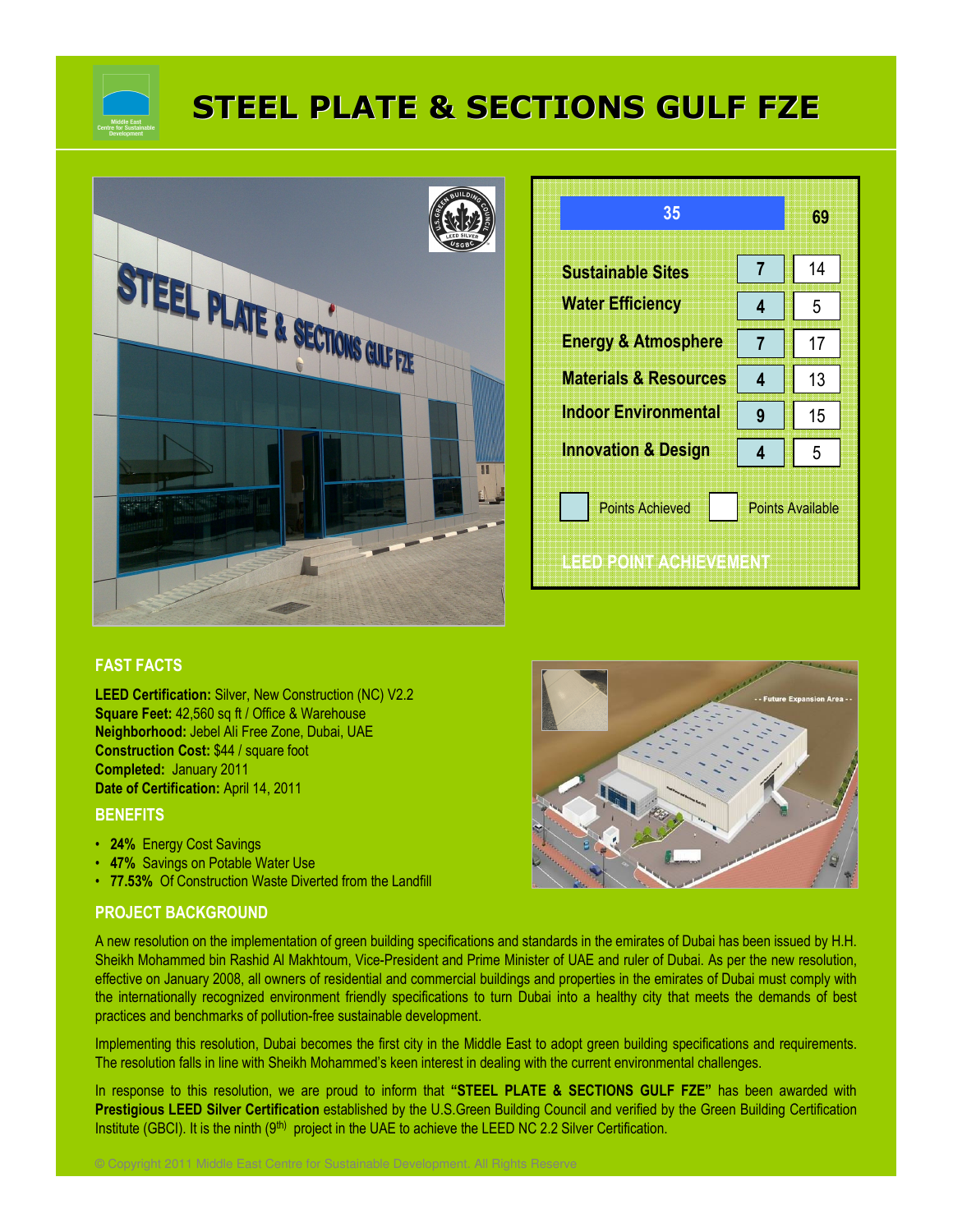

# STEEL PLATE & SECTIONS GULF FZE



| 35                                               |                         | 69 |  |
|--------------------------------------------------|-------------------------|----|--|
| <b>Sustainable Sites</b>                         | $\overline{7}$          | 14 |  |
| <b>Water Efficiency</b>                          | 4                       | 5  |  |
| <b>Energy &amp; Atmosphere</b>                   | 7                       | 17 |  |
| <b>Materials &amp; Resources</b>                 | 4                       | 13 |  |
| <b>Indoor Environmental</b>                      | 9                       | 15 |  |
| <b>Innovation &amp; Design</b>                   | 4                       | 5  |  |
| <b>Points Achieved</b><br>LEED POINT ACHIEVEMENT | <b>Points Available</b> |    |  |

### FAST FACTS

LEED Certification: Silver, New Construction (NC) V2.2 Square Feet: 42,560 sq ft / Office & Warehouse Neighborhood: Jebel Ali Free Zone, Dubai, UAE Construction Cost: \$44 / square foot Completed: January 2011 Date of Certification: April 14, 2011

## **BENEFITS**

- 24% Energy Cost Savings
- 47% Savings on Potable Water Use
- 77.53% Of Construction Waste Diverted from the Landfill

© Copyright 2011 Middle East Centre for Sustainable Development. All Rights Reserve

#### PROJECT BACKGROUND

A new resolution on the implementation of green building specifications and standards in the emirates of Dubai has been issued by H.H. Sheikh Mohammed bin Rashid Al Makhtoum, Vice-President and Prime Minister of UAE and ruler of Dubai. As per the new resolution, effective on January 2008, all owners of residential and commercial buildings and properties in the emirates of Dubai must comply with the internationally recognized environment friendly specifications to turn Dubai into a healthy city that meets the demands of best practices and benchmarks of pollution-free sustainable development.

Implementing this resolution, Dubai becomes the first city in the Middle East to adopt green building specifications and requirements. The resolution falls in line with Sheikh Mohammed's keen interest in dealing with the current environmental challenges.

In response to this resolution, we are proud to inform that "STEEL PLATE & SECTIONS GULF FZE" has been awarded with Prestigious LEED Silver Certification established by the U.S.Green Building Council and verified by the Green Building Certification Institute (GBCI). It is the ninth (9<sup>th)</sup> project in the UAE to achieve the LEED NC 2.2 Silver Certification.